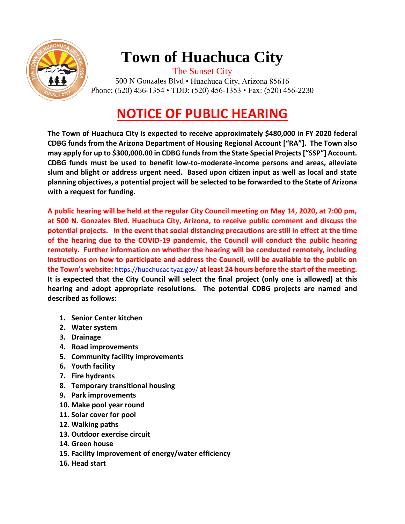

## **Town of Huachuca City**

The Sunset City 500 N Gonzales Blvd • Huachuca City, Arizona 85616 Phone: (520) 456-1354 • TDD: (520) 456-1353 • Fax: (520) 456-2230

## **NOTICE OF PUBLIC HEARING**

**The Town of Huachuca City is expected to receive approximately \$480,000 in FY 2020 federal CDBG funds from the Arizona Department of Housing Regional Account ["RA"]. The Town also may apply for up to \$300,000.00 in CDBG funds from the State Special Projects ["SSP"] Account. CDBG funds must be used to benefit low-to-moderate-income persons and areas, alleviate slum and blight or address urgent need. Based upon citizen input as well as local and state planning objectives, a potential project will be selected to be forwarded to the State of Arizona with a request for funding.** 

**A public hearing will be held at the regular City Council meeting on May 14, 2020, at 7:00 pm, at 500 N. Gonzales Blvd. Huachuca City, Arizona, to receive public comment and discuss the potential projects. In the event that social distancing precautions are still in effect at the time of the hearing due to the COVID-19 pandemic, the Council will conduct the public hearing remotely. Further information on whether the hearing will be conducted remotely, including instructions on how to participate and address the Council, will be available to the public on the Town's website:** <https://huachucacityaz.gov/> **at least 24 hours before the start of the meeting. It is expected that the City Council will select the final project (only one is allowed) at this hearing and adopt appropriate resolutions. The potential CDBG projects are named and described as follows:**

- **1. Senior Center kitchen**
- **2. Water system**
- **3. Drainage**
- **4. Road improvements**
- **5. Community facility improvements**
- **6. Youth facility**
- **7. Fire hydrants**
- **8. Temporary transitional housing**
- **9. Park improvements**
- **10. Make pool year round**
- **11. Solar cover for pool**
- **12. Walking paths**
- **13. Outdoor exercise circuit**
- **14. Green house**
- **15. Facility improvement of energy/water efficiency**
- **16. Head start**